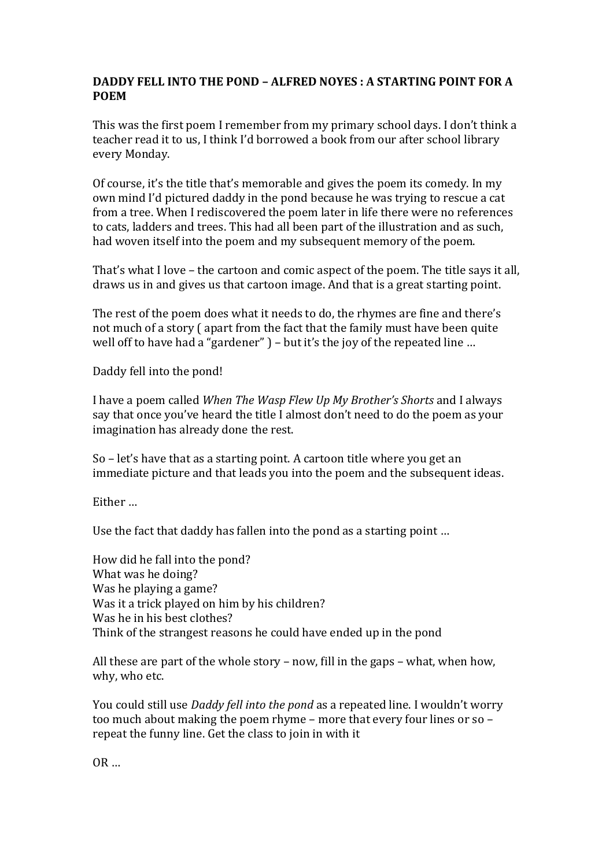## **DADDY FELL INTO THE POND – ALFRED NOYES : A STARTING POINT FOR A POEM**

This was the first poem I remember from my primary school days. I don't think a teacher read it to us, I think I'd borrowed a book from our after school library every Monday.

Of course, it's the title that's memorable and gives the poem its comedy. In my own mind I'd pictured daddy in the pond because he was trying to rescue a cat from a tree. When I rediscovered the poem later in life there were no references to cats, ladders and trees. This had all been part of the illustration and as such, had woven itself into the poem and my subsequent memory of the poem.

That's what I love – the cartoon and comic aspect of the poem. The title says it all, draws us in and gives us that cartoon image. And that is a great starting point.

The rest of the poem does what it needs to do, the rhymes are fine and there's not much of a story ( apart from the fact that the family must have been quite well off to have had a "gardener" ) – but it's the joy of the repeated line ...

Daddy fell into the pond!

I have a poem called *When The Wasp Flew Up My Brother's Shorts* and I always say that once you've heard the title I almost don't need to do the poem as your imagination has already done the rest.

So – let's have that as a starting point. A cartoon title where you get an immediate picture and that leads you into the poem and the subsequent ideas.

Either …

Use the fact that daddy has fallen into the pond as a starting point …

How did he fall into the pond? What was he doing? Was he playing a game? Was it a trick played on him by his children? Was he in his best clothes? Think of the strangest reasons he could have ended up in the pond

All these are part of the whole story – now, fill in the gaps – what, when how, why, who etc.

You could still use *Daddy fell into the pond* as a repeated line. I wouldn't worry too much about making the poem rhyme – more that every four lines or so – repeat the funny line. Get the class to join in with it

 $OR...$